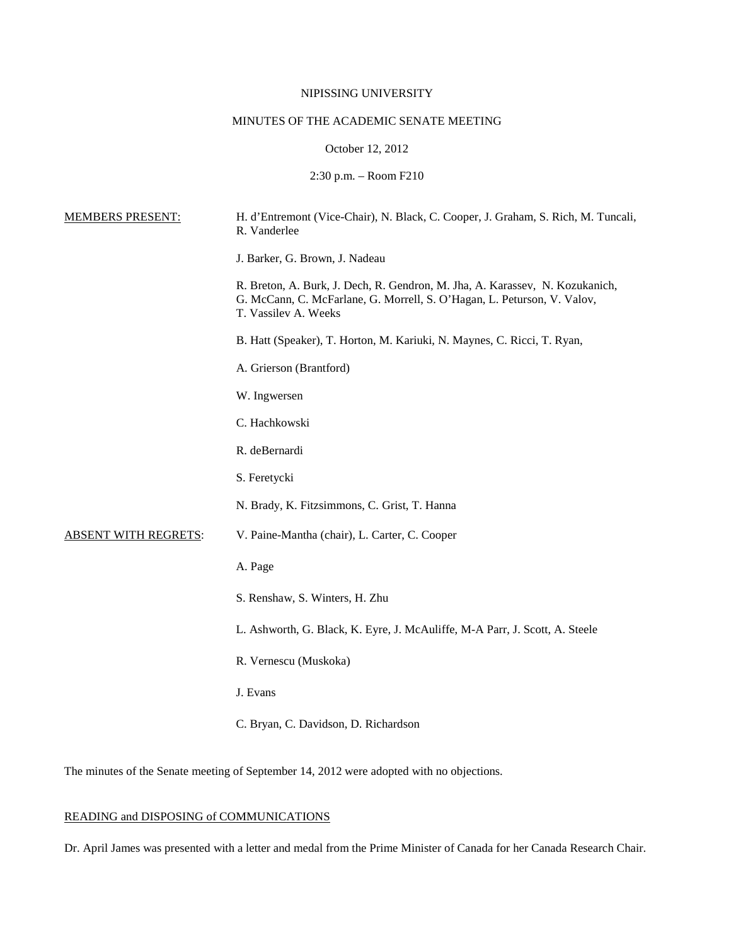# NIPISSING UNIVERSITY

# MINUTES OF THE ACADEMIC SENATE MEETING

### October 12, 2012

# 2:30 p.m. – Room F210

| <b>MEMBERS PRESENT:</b>     | H. d'Entremont (Vice-Chair), N. Black, C. Cooper, J. Graham, S. Rich, M. Tuncali,<br>R. Vanderlee                                                                               |
|-----------------------------|---------------------------------------------------------------------------------------------------------------------------------------------------------------------------------|
|                             | J. Barker, G. Brown, J. Nadeau                                                                                                                                                  |
|                             | R. Breton, A. Burk, J. Dech, R. Gendron, M. Jha, A. Karassev, N. Kozukanich,<br>G. McCann, C. McFarlane, G. Morrell, S. O'Hagan, L. Peturson, V. Valov,<br>T. Vassilev A. Weeks |
|                             | B. Hatt (Speaker), T. Horton, M. Kariuki, N. Maynes, C. Ricci, T. Ryan,                                                                                                         |
|                             | A. Grierson (Brantford)                                                                                                                                                         |
|                             | W. Ingwersen                                                                                                                                                                    |
|                             | C. Hachkowski                                                                                                                                                                   |
|                             | R. deBernardi                                                                                                                                                                   |
|                             | S. Feretycki                                                                                                                                                                    |
|                             | N. Brady, K. Fitzsimmons, C. Grist, T. Hanna                                                                                                                                    |
| <b>ABSENT WITH REGRETS:</b> | V. Paine-Mantha (chair), L. Carter, C. Cooper                                                                                                                                   |
|                             | A. Page                                                                                                                                                                         |
|                             | S. Renshaw, S. Winters, H. Zhu                                                                                                                                                  |
|                             | L. Ashworth, G. Black, K. Eyre, J. McAuliffe, M-A Parr, J. Scott, A. Steele                                                                                                     |
|                             | R. Vernescu (Muskoka)                                                                                                                                                           |
|                             | J. Evans                                                                                                                                                                        |
|                             | C. Bryan, C. Davidson, D. Richardson                                                                                                                                            |

The minutes of the Senate meeting of September 14, 2012 were adopted with no objections.

# READING and DISPOSING of COMMUNICATIONS

Dr. April James was presented with a letter and medal from the Prime Minister of Canada for her Canada Research Chair.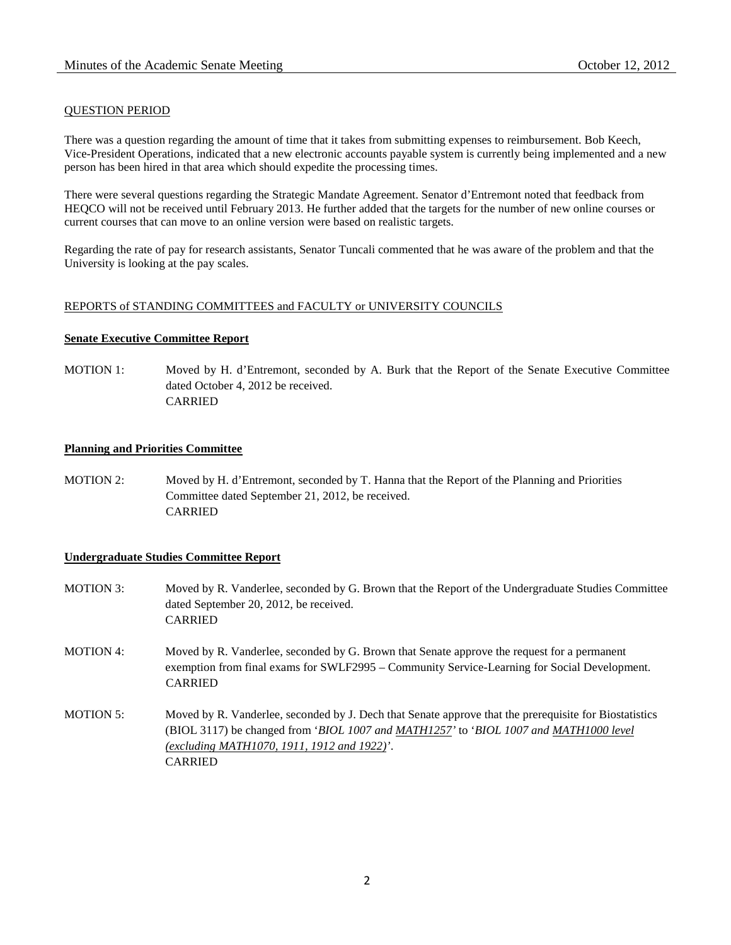# QUESTION PERIOD

There was a question regarding the amount of time that it takes from submitting expenses to reimbursement. Bob Keech, Vice-President Operations, indicated that a new electronic accounts payable system is currently being implemented and a new person has been hired in that area which should expedite the processing times.

There were several questions regarding the Strategic Mandate Agreement. Senator d'Entremont noted that feedback from HEQCO will not be received until February 2013. He further added that the targets for the number of new online courses or current courses that can move to an online version were based on realistic targets.

Regarding the rate of pay for research assistants, Senator Tuncali commented that he was aware of the problem and that the University is looking at the pay scales.

### REPORTS of STANDING COMMITTEES and FACULTY or UNIVERSITY COUNCILS

### **Senate Executive Committee Report**

MOTION 1: Moved by H. d'Entremont, seconded by A. Burk that the Report of the Senate Executive Committee dated October 4, 2012 be received. CARRIED

# **Planning and Priorities Committee**

MOTION 2: Moved by H. d'Entremont, seconded by T. Hanna that the Report of the Planning and Priorities Committee dated September 21, 2012, be received. **CARRIED** 

# **Undergraduate Studies Committee Report**

- MOTION 3: Moved by R. Vanderlee, seconded by G. Brown that the Report of the Undergraduate Studies Committee dated September 20, 2012, be received. CARRIED
- MOTION 4: Moved by R. Vanderlee, seconded by G. Brown that Senate approve the request for a permanent exemption from final exams for SWLF2995 – Community Service-Learning for Social Development. CARRIED
- MOTION 5: Moved by R. Vanderlee, seconded by J. Dech that Senate approve that the prerequisite for Biostatistics (BIOL 3117) be changed from '*BIOL 1007 and MATH1257'* to '*BIOL 1007 and MATH1000 level (excluding MATH1070, 1911, 1912 and 1922)'*. CARRIED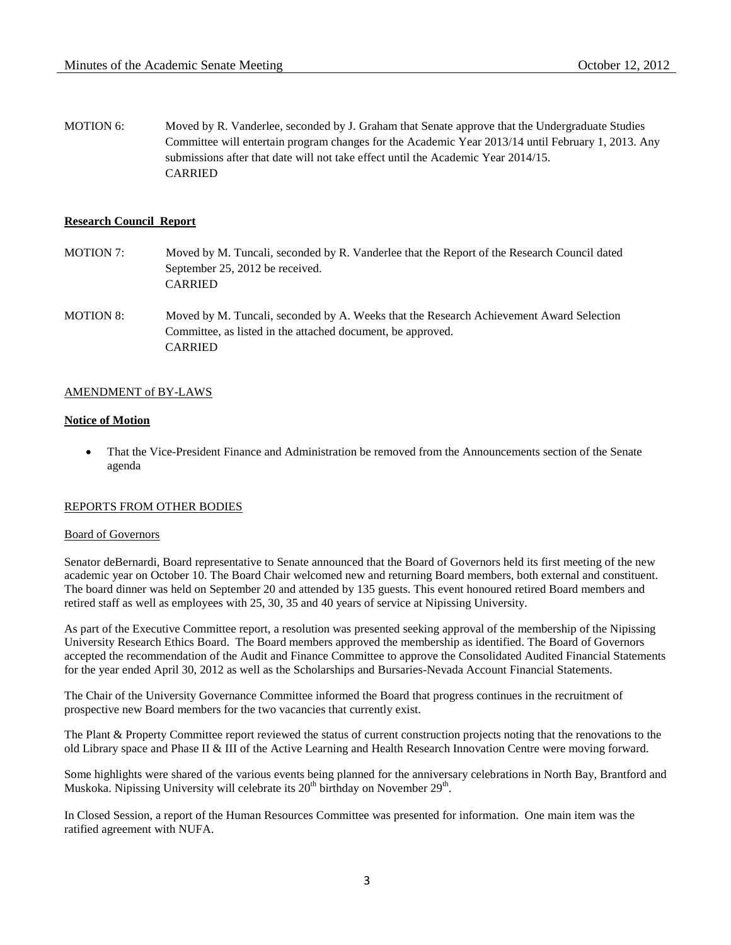MOTION 6: Moved by R. Vanderlee, seconded by J. Graham that Senate approve that the Undergraduate Studies Committee will entertain program changes for the Academic Year 2013/14 until February 1, 2013. Any submissions after that date will not take effect until the Academic Year 2014/15. CARRIED

#### **Research Council Report**

- MOTION 7: Moved by M. Tuncali, seconded by R. Vanderlee that the Report of the Research Council dated September 25, 2012 be received. CARRIED
- MOTION 8: Moved by M. Tuncali, seconded by A. Weeks that the Research Achievement Award Selection Committee, as listed in the attached document, be approved. CARRIED

### AMENDMENT of BY-LAWS

# **Notice of Motion**

• That the Vice-President Finance and Administration be removed from the Announcements section of the Senate agenda

#### REPORTS FROM OTHER BODIES

#### Board of Governors

Senator deBernardi, Board representative to Senate announced that the Board of Governors held its first meeting of the new academic year on October 10. The Board Chair welcomed new and returning Board members, both external and constituent. The board dinner was held on September 20 and attended by 135 guests. This event honoured retired Board members and retired staff as well as employees with 25, 30, 35 and 40 years of service at Nipissing University.

As part of the Executive Committee report, a resolution was presented seeking approval of the membership of the Nipissing University Research Ethics Board. The Board members approved the membership as identified. The Board of Governors accepted the recommendation of the Audit and Finance Committee to approve the Consolidated Audited Financial Statements for the year ended April 30, 2012 as well as the Scholarships and Bursaries-Nevada Account Financial Statements.

The Chair of the University Governance Committee informed the Board that progress continues in the recruitment of prospective new Board members for the two vacancies that currently exist.

The Plant & Property Committee report reviewed the status of current construction projects noting that the renovations to the old Library space and Phase II & III of the Active Learning and Health Research Innovation Centre were moving forward.

Some highlights were shared of the various events being planned for the anniversary celebrations in North Bay, Brantford and Muskoka. Nipissing University will celebrate its  $20<sup>th</sup>$  birthday on November  $29<sup>th</sup>$ .

In Closed Session, a report of the Human Resources Committee was presented for information. One main item was the ratified agreement with NUFA.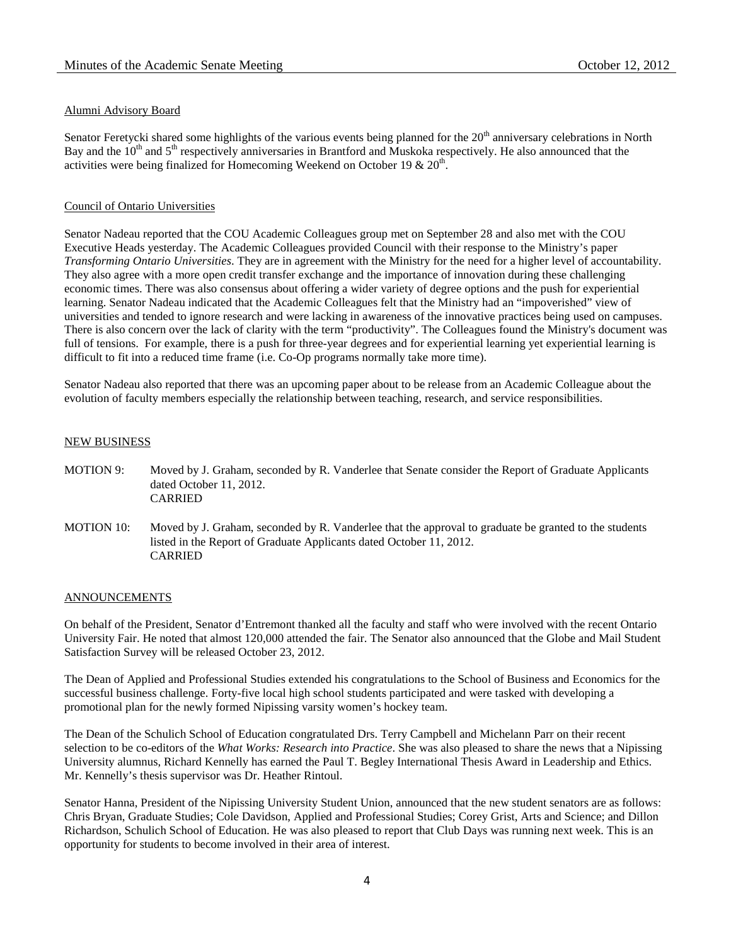### Alumni Advisory Board

Senator Feretycki shared some highlights of the various events being planned for the  $20<sup>th</sup>$  anniversary celebrations in North Bay and the  $10^{th}$  and  $5^{th}$  respectively anniversaries in Brantford and Muskoka respectively. He also announced that the activities were being finalized for Homecoming Weekend on October 19  $\&$  20<sup>th</sup>.

#### Council of Ontario Universities

Senator Nadeau reported that the COU Academic Colleagues group met on September 28 and also met with the COU Executive Heads yesterday. The Academic Colleagues provided Council with their response to the Ministry's paper *Transforming Ontario Universities*. They are in agreement with the Ministry for the need for a higher level of accountability. They also agree with a more open credit transfer exchange and the importance of innovation during these challenging economic times. There was also consensus about offering a wider variety of degree options and the push for experiential learning. Senator Nadeau indicated that the Academic Colleagues felt that the Ministry had an "impoverished" view of universities and tended to ignore research and were lacking in awareness of the innovative practices being used on campuses. There is also concern over the lack of clarity with the term "productivity". The Colleagues found the Ministry's document was full of tensions. For example, there is a push for three-year degrees and for experiential learning yet experiential learning is difficult to fit into a reduced time frame (i.e. Co-Op programs normally take more time).

Senator Nadeau also reported that there was an upcoming paper about to be release from an Academic Colleague about the evolution of faculty members especially the relationship between teaching, research, and service responsibilities.

#### NEW BUSINESS

- MOTION 9: Moved by J. Graham, seconded by R. Vanderlee that Senate consider the Report of Graduate Applicants dated October 11, 2012. CARRIED
- MOTION 10: Moved by J. Graham, seconded by R. Vanderlee that the approval to graduate be granted to the students listed in the Report of Graduate Applicants dated October 11, 2012. CARRIED

#### **ANNOUNCEMENTS**

On behalf of the President, Senator d'Entremont thanked all the faculty and staff who were involved with the recent Ontario University Fair. He noted that almost 120,000 attended the fair. The Senator also announced that the Globe and Mail Student Satisfaction Survey will be released October 23, 2012.

The Dean of Applied and Professional Studies extended his congratulations to the School of Business and Economics for the successful business challenge. Forty-five local high school students participated and were tasked with developing a promotional plan for the newly formed Nipissing varsity women's hockey team.

The Dean of the Schulich School of Education congratulated Drs. Terry Campbell and Michelann Parr on their recent selection to be co-editors of the *What Works: Research into Practice*. She was also pleased to share the news that a Nipissing University alumnus, Richard Kennelly has earned the Paul T. Begley International Thesis Award in Leadership and Ethics. Mr. Kennelly's thesis supervisor was Dr. Heather Rintoul.

Senator Hanna, President of the Nipissing University Student Union, announced that the new student senators are as follows: Chris Bryan, Graduate Studies; Cole Davidson, Applied and Professional Studies; Corey Grist, Arts and Science; and Dillon Richardson, Schulich School of Education. He was also pleased to report that Club Days was running next week. This is an opportunity for students to become involved in their area of interest.